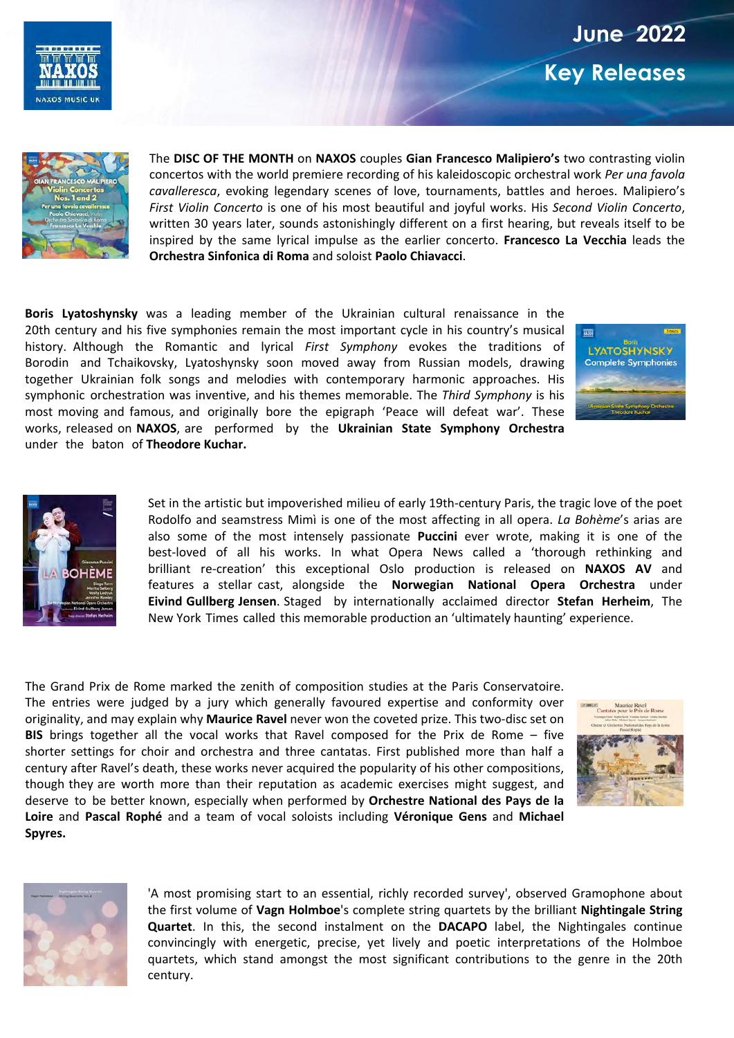





The **DISC OF THE MONTH** on **NAXOS** couples **Gian Francesco Malipiero's** two contrasting violin concertos with the world premiere recording of his kaleidoscopic orchestral work *Per una favola cavalleresca*, evoking legendary scenes of love, tournaments, battles and heroes. Malipiero's *First Violin Concerto* is one of his most beautiful and joyful works. His *Second Violin Concerto*, written 30 years later, sounds astonishingly different on a first hearing, but reveals itself to be inspired by the same lyrical impulse as the earlier concerto. **Francesco La Vecchia** leads the **Orchestra Sinfonica di Roma** and soloist **Paolo Chiavacci**.

**Boris Lyatoshynsky** was a leading member of the Ukrainian cultural renaissance in the 20th century and his five symphonies remain the most important cycle in his country's musical history. Although the Romantic and lyrical *First Symphony* evokes the traditions of Borodin and Tchaikovsky, Lyatoshynsky soon moved away from Russian models, drawing together Ukrainian folk songs and melodies with contemporary harmonic approaches. His symphonic orchestration was inventive, and his themes memorable. The *Third Symphony* is his most moving and famous, and originally bore the epigraph 'Peace will defeat war'. These works, released on **NAXOS**, are performed by the **Ukrainian State Symphony Orchestra** under the baton of **Theodore Kuchar.** 





Set in the artistic but impoverished milieu of early 19th-century Paris, the tragic love of the poet Rodolfo and seamstress Mimì is one of the most affecting in all opera. *La Bohème*'s arias are also some of the most intensely passionate **Puccini** ever wrote, making it is one of the best-loved of all his works. In what Opera News called a 'thorough rethinking and brilliant re-creation' this exceptional Oslo production is released on **NAXOS AV** and features a stellar cast, alongside the **Norwegian National Opera Orchestra** under **Eivind Gullberg Jensen**. Staged by internationally acclaimed director **Stefan Herheim**, The New York Times called this memorable production an 'ultimately haunting' experience.

The Grand Prix de Rome marked the zenith of composition studies at the Paris Conservatoire. The entries were judged by a jury which generally favoured expertise and conformity over originality, and may explain why **Maurice Ravel** never won the coveted prize. This two-disc set on **BIS** brings together all the vocal works that Ravel composed for the Prix de Rome – five shorter settings for choir and orchestra and three cantatas. First published more than half a century after Ravel's death, these works never acquired the popularity of his other compositions, though they are worth more than their reputation as academic exercises might suggest, and deserve to be better known, especially when performed by **Orchestre National des Pays de la Loire** and **Pascal Rophé** and a team of vocal soloists including **Véronique Gens** and **Michael Spyres.** 





'A most promising start to an essential, richly recorded survey', observed Gramophone about the first volume of **Vagn Holmboe**'s complete string quartets by the brilliant **Nightingale String Quartet**. In this, the second instalment on the **DACAPO** label, the Nightingales continue convincingly with energetic, precise, yet lively and poetic interpretations of the Holmboe quartets, which stand amongst the most significant contributions to the genre in the 20th century.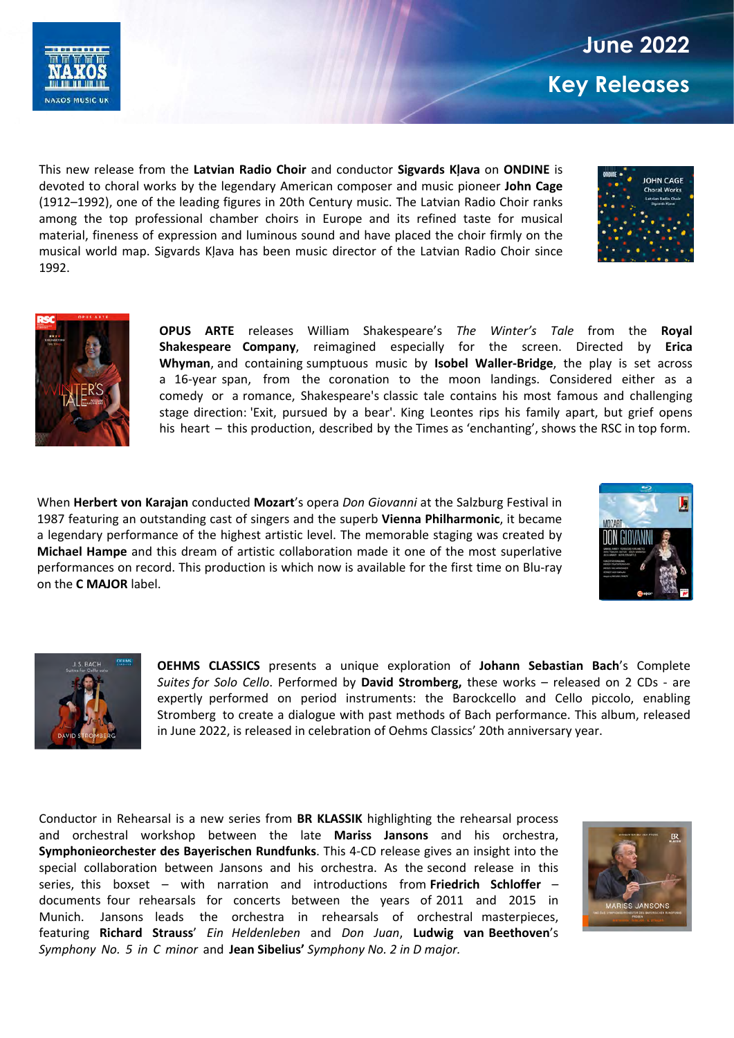

This new release from the **Latvian Radio Choir** and conductor **Sigvards Kļava** on **ONDINE** is devoted to choral works by the legendary American composer and music pioneer **John Cage** (1912–1992), one of the leading figures in 20th Century music. The Latvian Radio Choir ranks among the top professional chamber choirs in Europe and its refined taste for musical material, fineness of expression and luminous sound and have placed the choir firmly on the musical world map. Sigvards Kļava has been music director of the Latvian Radio Choir since 1992.





**OPUS ARTE** releases William Shakespeare's *The Winter's Tale* from the **Royal Shakespeare Company**, reimagined especially for the screen. Directed by **Erica Whyman**, and containing sumptuous music by **Isobel Waller-Bridge**, the play is set across a 16-year span, from the coronation to the moon landings. Considered either as a comedy or a romance, Shakespeare's classic tale contains his most famous and challenging stage direction: 'Exit, pursued by a bear'. King Leontes rips his family apart, but grief opens his heart – this production, described by the Times as 'enchanting', shows the RSC in top form.

When **Herbert von Karajan** conducted **Mozart**'s opera *Don Giovanni* at the Salzburg Festival in 1987 featuring an outstanding cast of singers and the superb **Vienna Philharmonic**, it became a legendary performance of the highest artistic level. The memorable staging was created by **Michael Hampe** and this dream of artistic collaboration made it one of the most superlative performances on record. This production is which now is available for the first time on Blu-ray on the **C MAJOR** label.





**OEHMS CLASSICS** presents a unique exploration of **Johann Sebastian Bach**'s Complete *Suites for Solo Cello*. Performed by **David Stromberg,** these works – released on 2 CDs - are expertly performed on period instruments: the Barockcello and Cello piccolo, enabling Stromberg to create a dialogue with past methods of Bach performance. This album, released in June 2022, is released in celebration of Oehms Classics' 20th anniversary year.

Conductor in Rehearsal is a new series from **BR KLASSIK** highlighting the rehearsal process and orchestral workshop between the late **Mariss Jansons** and his orchestra, **Symphonieorchester des Bayerischen Rundfunks**. This 4-CD release gives an insight into the special collaboration between Jansons and his orchestra. As the second release in this series, this boxset – with narration and introductions from **Friedrich Schloffer** – documents four rehearsals for concerts between the years of 2011 and 2015 in Munich. Jansons leads the orchestra in rehearsals of orchestral masterpieces, featuring **Richard Strauss**' *Ein Heldenleben* and *Don Juan*, **Ludwig van Beethoven**'s *Symphony No. 5 in C minor* and **Jean Sibelius'** *Symphony No. 2 in D major.* 

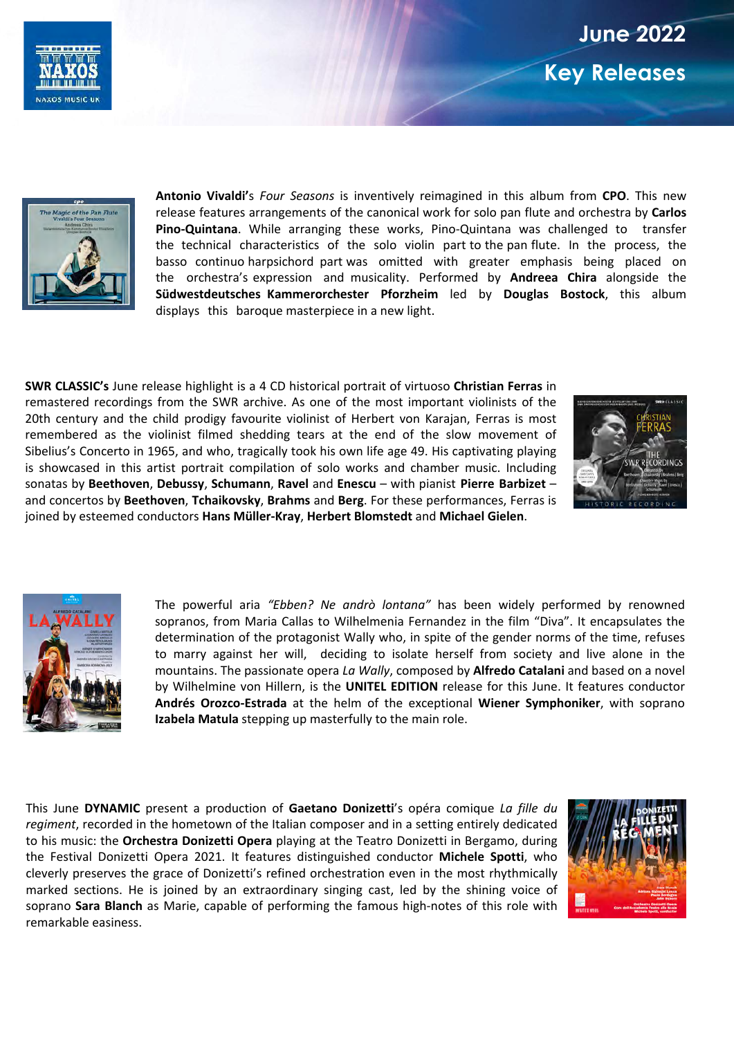## **June 2022 Key Releases**





**Antonio Vivaldi'**s *Four Seasons* is inventively reimagined in this album from **CPO**. This new release features arrangements of the canonical work for solo pan flute and orchestra by **Carlos Pino-Quintana**. While arranging these works, Pino-Quintana was challenged to transfer the technical characteristics of the solo violin part to the pan flute. In the process, the basso continuo harpsichord part was omitted with greater emphasis being placed on the orchestra's expression and musicality. Performed by **Andreea Chira** alongside the **Südwestdeutsches Kammerorchester Pforzheim** led by **Douglas Bostock**, this album displays this baroque masterpiece in a new light.

**SWR CLASSIC's** June release highlight is a 4 CD historical portrait of virtuoso **Christian Ferras** in remastered recordings from the SWR archive. As one of the most important violinists of the 20th century and the child prodigy favourite violinist of Herbert von Karajan, Ferras is most remembered as the violinist filmed shedding tears at the end of the slow movement of Sibelius's Concerto in 1965, and who, tragically took his own life age 49. His captivating playing is showcased in this artist portrait compilation of solo works and chamber music. Including sonatas by **Beethoven**, **Debussy**, **Schumann**, **Ravel** and **Enescu** – with pianist **Pierre Barbizet** – and concertos by **Beethoven**, **Tchaikovsky**, **Brahms** and **Berg**. For these performances, Ferras is joined by esteemed conductors **Hans Müller-Kray**, **Herbert Blomstedt** and **Michael Gielen**.





The powerful aria *"Ebben? Ne andrò lontana"* has been widely performed by renowned sopranos, from Maria Callas to Wilhelmenia Fernandez in the film "Diva". It encapsulates the determination of the protagonist Wally who, in spite of the gender norms of the time, refuses to marry against her will, deciding to isolate herself from society and live alone in the mountains. The passionate opera *La Wally*, composed by **Alfredo Catalani** and based on a novel by Wilhelmine von Hillern, is the **UNITEL EDITION** release for this June. It features conductor **Andrés Orozco-Estrada** at the helm of the exceptional **Wiener Symphoniker**, with soprano **Izabela Matula** stepping up masterfully to the main role.

This June **DYNAMIC** present a production of **Gaetano Donizetti**'s opéra comique *La fille du regiment*, recorded in the hometown of the Italian composer and in a setting entirely dedicated to his music: the **Orchestra Donizetti Opera** playing at the Teatro Donizetti in Bergamo, during the Festival Donizetti Opera 2021. It features distinguished conductor **Michele Spotti**, who cleverly preserves the grace of Donizetti's refined orchestration even in the most rhythmically marked sections. He is joined by an extraordinary singing cast, led by the shining voice of soprano **Sara Blanch** as Marie, capable of performing the famous high-notes of this role with remarkable easiness.